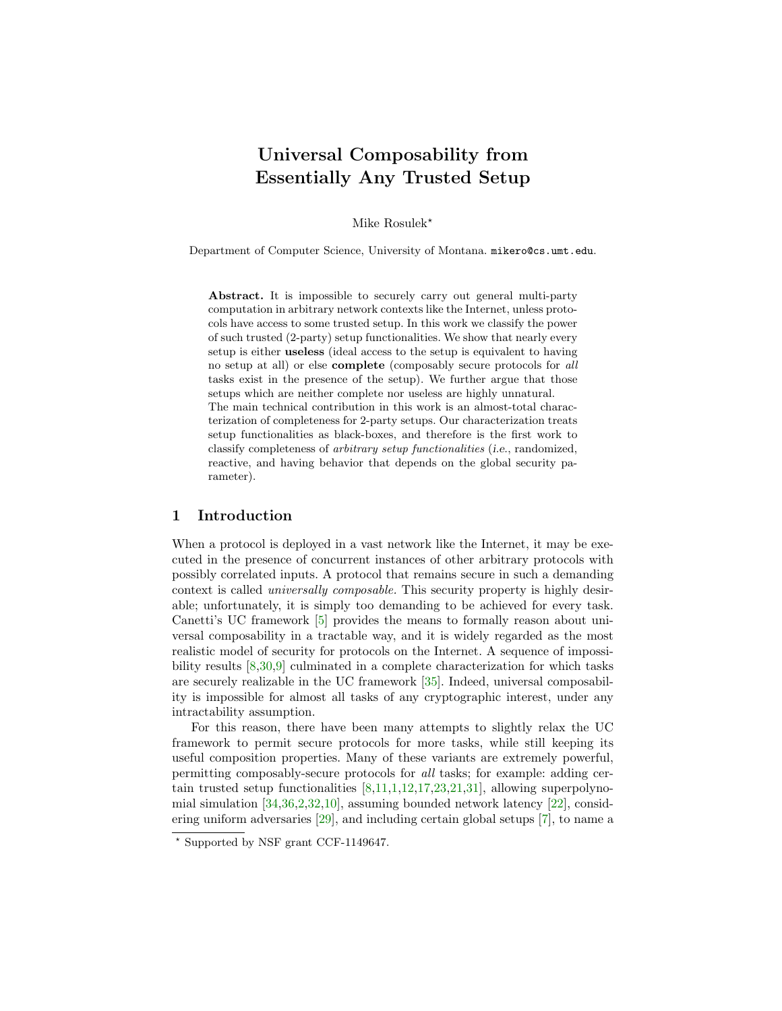# Universal Composability from Essentially Any Trusted Setup

Mike Rosulek<sup>\*</sup>

Department of Computer Science, University of Montana. mikero@cs.umt.edu.

Abstract. It is impossible to securely carry out general multi-party computation in arbitrary network contexts like the Internet, unless protocols have access to some trusted setup. In this work we classify the power of such trusted (2-party) setup functionalities. We show that nearly every setup is either useless (ideal access to the setup is equivalent to having no setup at all) or else complete (composably secure protocols for all tasks exist in the presence of the setup). We further argue that those setups which are neither complete nor useless are highly unnatural. The main technical contribution in this work is an almost-total characterization of completeness for 2-party setups. Our characterization treats setup functionalities as black-boxes, and therefore is the first work to classify completeness of arbitrary setup functionalities (i.e., randomized, reactive, and having behavior that depends on the global security parameter).

### 1 Introduction

When a protocol is deployed in a vast network like the Internet, it may be executed in the presence of concurrent instances of other arbitrary protocols with possibly correlated inputs. A protocol that remains secure in such a demanding context is called universally composable. This security property is highly desirable; unfortunately, it is simply too demanding to be achieved for every task. Canetti's UC framework [\[5\]](#page-16-0) provides the means to formally reason about universal composability in a tractable way, and it is widely regarded as the most realistic model of security for protocols on the Internet. A sequence of impossibility results [\[8,](#page-16-1)[30](#page-17-0)[,9\]](#page-16-2) culminated in a complete characterization for which tasks are securely realizable in the UC framework [\[35\]](#page-17-1). Indeed, universal composability is impossible for almost all tasks of any cryptographic interest, under any intractability assumption.

For this reason, there have been many attempts to slightly relax the UC framework to permit secure protocols for more tasks, while still keeping its useful composition properties. Many of these variants are extremely powerful, permitting composably-secure protocols for all tasks; for example: adding certain trusted setup functionalities [\[8,](#page-16-1)[11,](#page-16-3)[1,](#page-16-4)[12,](#page-16-5)[17,](#page-16-6)[23,](#page-17-2)[21](#page-17-3)[,31\]](#page-17-4), allowing superpolynomial simulation  $[34,36,2,32,10]$  $[34,36,2,32,10]$  $[34,36,2,32,10]$  $[34,36,2,32,10]$  $[34,36,2,32,10]$ , assuming bounded network latency  $[22]$ , considering uniform adversaries [\[29\]](#page-17-9), and including certain global setups [\[7\]](#page-16-9), to name a

<sup>?</sup> Supported by NSF grant CCF-1149647.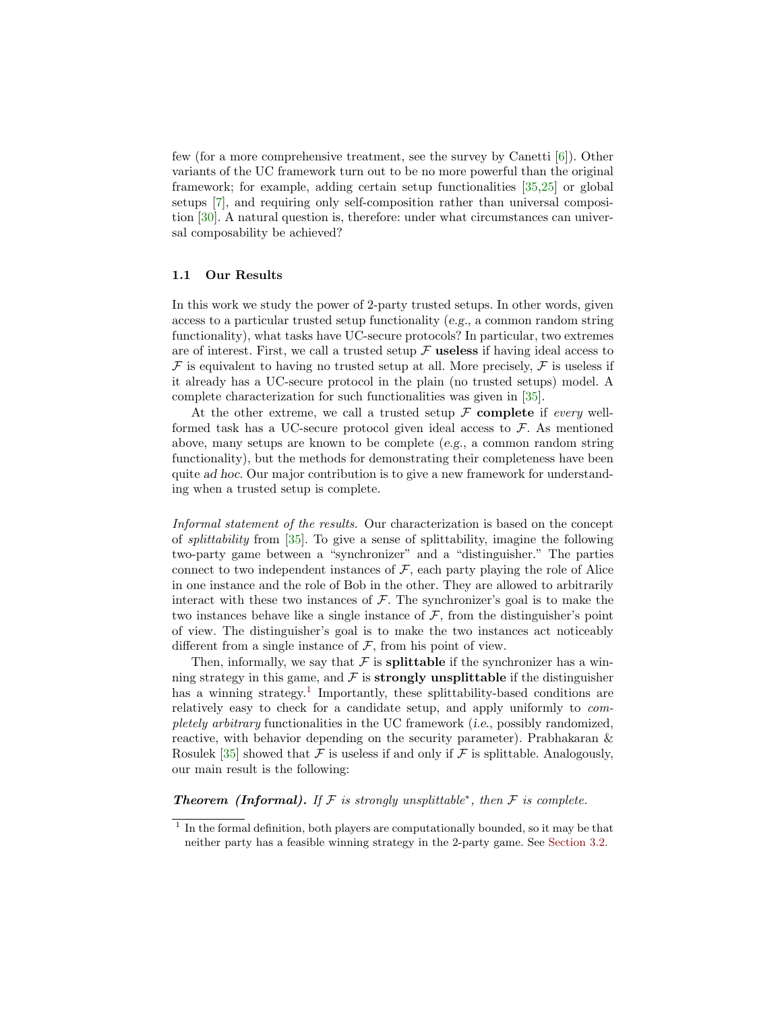few (for a more comprehensive treatment, see the survey by Canetti [\[6\]](#page-16-10)). Other variants of the UC framework turn out to be no more powerful than the original framework; for example, adding certain setup functionalities [\[35,](#page-17-1)[25\]](#page-17-10) or global setups [\[7\]](#page-16-9), and requiring only self-composition rather than universal composition [\[30\]](#page-17-0). A natural question is, therefore: under what circumstances can universal composability be achieved?

#### 1.1 Our Results

In this work we study the power of 2-party trusted setups. In other words, given access to a particular trusted setup functionality (e.g., a common random string functionality), what tasks have UC-secure protocols? In particular, two extremes are of interest. First, we call a trusted setup  $\mathcal F$  useless if having ideal access to  $\mathcal F$  is equivalent to having no trusted setup at all. More precisely,  $\mathcal F$  is useless if it already has a UC-secure protocol in the plain (no trusted setups) model. A complete characterization for such functionalities was given in [\[35\]](#page-17-1).

At the other extreme, we call a trusted setup  $\mathcal F$  complete if every wellformed task has a UC-secure protocol given ideal access to  $\mathcal{F}$ . As mentioned above, many setups are known to be complete (e.g., a common random string functionality), but the methods for demonstrating their completeness have been quite ad hoc. Our major contribution is to give a new framework for understanding when a trusted setup is complete.

Informal statement of the results. Our characterization is based on the concept of splittability from [\[35\]](#page-17-1). To give a sense of splittability, imagine the following two-party game between a "synchronizer" and a "distinguisher." The parties connect to two independent instances of  $F$ , each party playing the role of Alice in one instance and the role of Bob in the other. They are allowed to arbitrarily interact with these two instances of  $\mathcal F$ . The synchronizer's goal is to make the two instances behave like a single instance of  $\mathcal F$ , from the distinguisher's point of view. The distinguisher's goal is to make the two instances act noticeably different from a single instance of  $F$ , from his point of view.

Then, informally, we say that  $\mathcal F$  is **splittable** if the synchronizer has a winning strategy in this game, and  $\mathcal F$  is **strongly unsplittable** if the distinguisher has a winning strategy.<sup>[1](#page-1-0)</sup> Importantly, these splittability-based conditions are relatively easy to check for a candidate setup, and apply uniformly to completely arbitrary functionalities in the UC framework (i.e., possibly randomized, reactive, with behavior depending on the security parameter). Prabhakaran & Rosulek [\[35\]](#page-17-1) showed that F is useless if and only if F is splittable. Analogously, our main result is the following:

**Theorem (Informal).** If  $F$  is strongly unsplittable<sup>\*</sup>, then  $F$  is complete.

<span id="page-1-0"></span> $<sup>1</sup>$  In the formal definition, both players are computationally bounded, so it may be that</sup> neither party has a feasible winning strategy in the 2-party game. See [Section 3.2.](#page-7-0)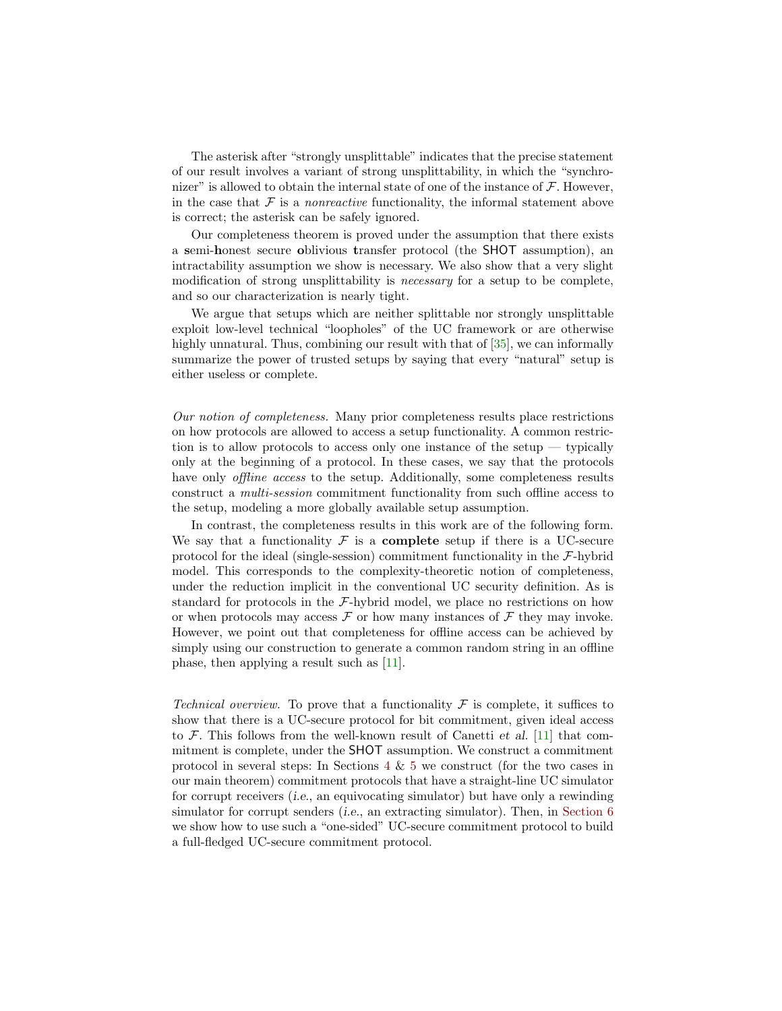The asterisk after "strongly unsplittable" indicates that the precise statement of our result involves a variant of strong unsplittability, in which the "synchronizer" is allowed to obtain the internal state of one of the instance of  $\mathcal F$ . However, in the case that  $\mathcal F$  is a *nonreactive* functionality, the informal statement above is correct; the asterisk can be safely ignored.

Our completeness theorem is proved under the assumption that there exists a semi-honest secure oblivious transfer protocol (the SHOT assumption), an intractability assumption we show is necessary. We also show that a very slight modification of strong unsplittability is *necessary* for a setup to be complete, and so our characterization is nearly tight.

We argue that setups which are neither splittable nor strongly unsplittable exploit low-level technical "loopholes" of the UC framework or are otherwise highly unnatural. Thus, combining our result with that of  $[35]$ , we can informally summarize the power of trusted setups by saying that every "natural" setup is either useless or complete.

Our notion of completeness. Many prior completeness results place restrictions on how protocols are allowed to access a setup functionality. A common restriction is to allow protocols to access only one instance of the setup — typically only at the beginning of a protocol. In these cases, we say that the protocols have only *offline access* to the setup. Additionally, some completeness results construct a multi-session commitment functionality from such offline access to the setup, modeling a more globally available setup assumption.

In contrast, the completeness results in this work are of the following form. We say that a functionality  $\mathcal F$  is a **complete** setup if there is a UC-secure protocol for the ideal (single-session) commitment functionality in the  $\mathcal{F}\text{-hybrid}$ model. This corresponds to the complexity-theoretic notion of completeness, under the reduction implicit in the conventional UC security definition. As is standard for protocols in the F-hybrid model, we place no restrictions on how or when protocols may access  $\mathcal F$  or how many instances of  $\mathcal F$  they may invoke. However, we point out that completeness for offline access can be achieved by simply using our construction to generate a common random string in an offline phase, then applying a result such as [\[11\]](#page-16-3).

Technical overview. To prove that a functionality F is complete, it suffices to show that there is a UC-secure protocol for bit commitment, given ideal access to  $\mathcal F$ . This follows from the well-known result of Canetti et al. [\[11\]](#page-16-3) that commitment is complete, under the SHOT assumption. We construct a commitment protocol in several steps: In Sections [4](#page-8-0) & [5](#page-12-0) we construct (for the two cases in our main theorem) commitment protocols that have a straight-line UC simulator for corrupt receivers (i.e., an equivocating simulator) but have only a rewinding simulator for corrupt senders (i.e., an extracting simulator). Then, in [Section 6](#page-13-0) we show how to use such a "one-sided" UC-secure commitment protocol to build a full-fledged UC-secure commitment protocol.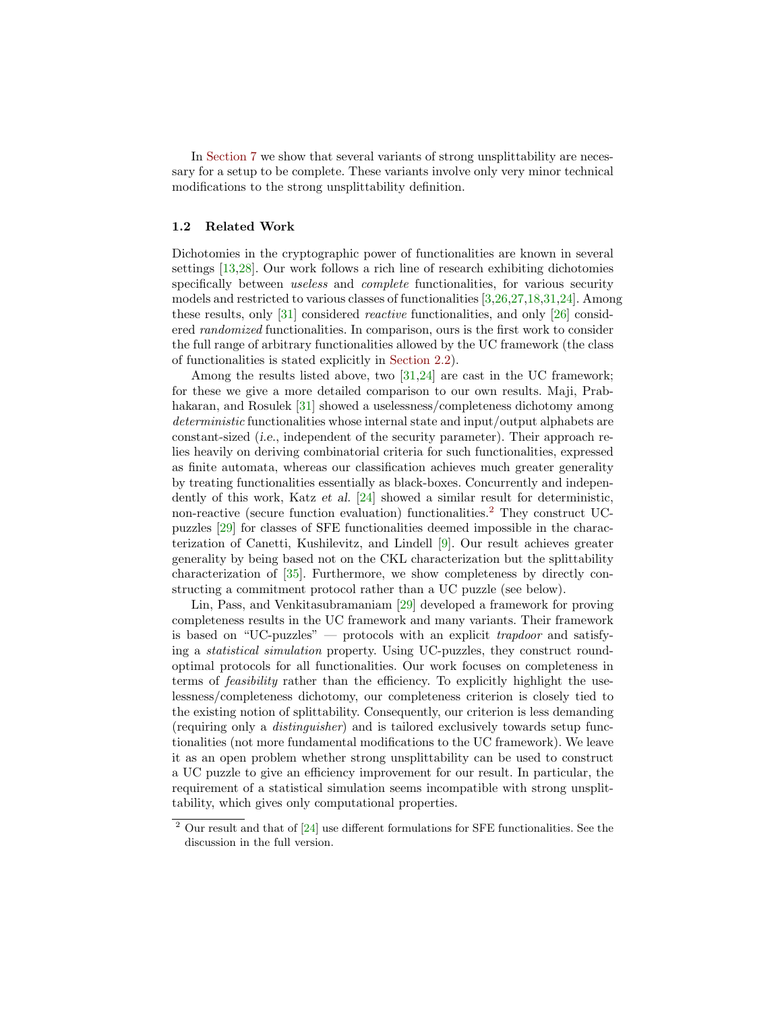In [Section 7](#page-14-0) we show that several variants of strong unsplittability are necessary for a setup to be complete. These variants involve only very minor technical modifications to the strong unsplittability definition.

#### 1.2 Related Work

Dichotomies in the cryptographic power of functionalities are known in several settings [\[13](#page-16-11)[,28\]](#page-17-11). Our work follows a rich line of research exhibiting dichotomies specifically between *useless* and *complete* functionalities, for various security models and restricted to various classes of functionalities [\[3,](#page-16-12)[26,](#page-17-12)[27,](#page-17-13)[18,](#page-17-14)[31,](#page-17-4)[24\]](#page-17-15). Among these results, only [\[31\]](#page-17-4) considered reactive functionalities, and only [\[26\]](#page-17-12) considered randomized functionalities. In comparison, ours is the first work to consider the full range of arbitrary functionalities allowed by the UC framework (the class of functionalities is stated explicitly in [Section 2.2\)](#page-4-0).

Among the results listed above, two [\[31,](#page-17-4)[24\]](#page-17-15) are cast in the UC framework; for these we give a more detailed comparison to our own results. Maji, Prab-hakaran, and Rosulek [\[31\]](#page-17-4) showed a uselessness/completeness dichotomy among deterministic functionalities whose internal state and input/output alphabets are constant-sized (i.e., independent of the security parameter). Their approach relies heavily on deriving combinatorial criteria for such functionalities, expressed as finite automata, whereas our classification achieves much greater generality by treating functionalities essentially as black-boxes. Concurrently and independently of this work, Katz et al. [\[24\]](#page-17-15) showed a similar result for deterministic, non-reactive (secure function evaluation) functionalities.[2](#page-3-0) They construct UCpuzzles [\[29\]](#page-17-9) for classes of SFE functionalities deemed impossible in the characterization of Canetti, Kushilevitz, and Lindell [\[9\]](#page-16-2). Our result achieves greater generality by being based not on the CKL characterization but the splittability characterization of [\[35\]](#page-17-1). Furthermore, we show completeness by directly constructing a commitment protocol rather than a UC puzzle (see below).

Lin, Pass, and Venkitasubramaniam [\[29\]](#page-17-9) developed a framework for proving completeness results in the UC framework and many variants. Their framework is based on "UC-puzzles" — protocols with an explicit trapdoor and satisfying a statistical simulation property. Using UC-puzzles, they construct roundoptimal protocols for all functionalities. Our work focuses on completeness in terms of feasibility rather than the efficiency. To explicitly highlight the uselessness/completeness dichotomy, our completeness criterion is closely tied to the existing notion of splittability. Consequently, our criterion is less demanding (requiring only a distinguisher) and is tailored exclusively towards setup functionalities (not more fundamental modifications to the UC framework). We leave it as an open problem whether strong unsplittability can be used to construct a UC puzzle to give an efficiency improvement for our result. In particular, the requirement of a statistical simulation seems incompatible with strong unsplittability, which gives only computational properties.

<span id="page-3-0"></span> $2$  Our result and that of  $[24]$  use different formulations for SFE functionalities. See the discussion in the full version.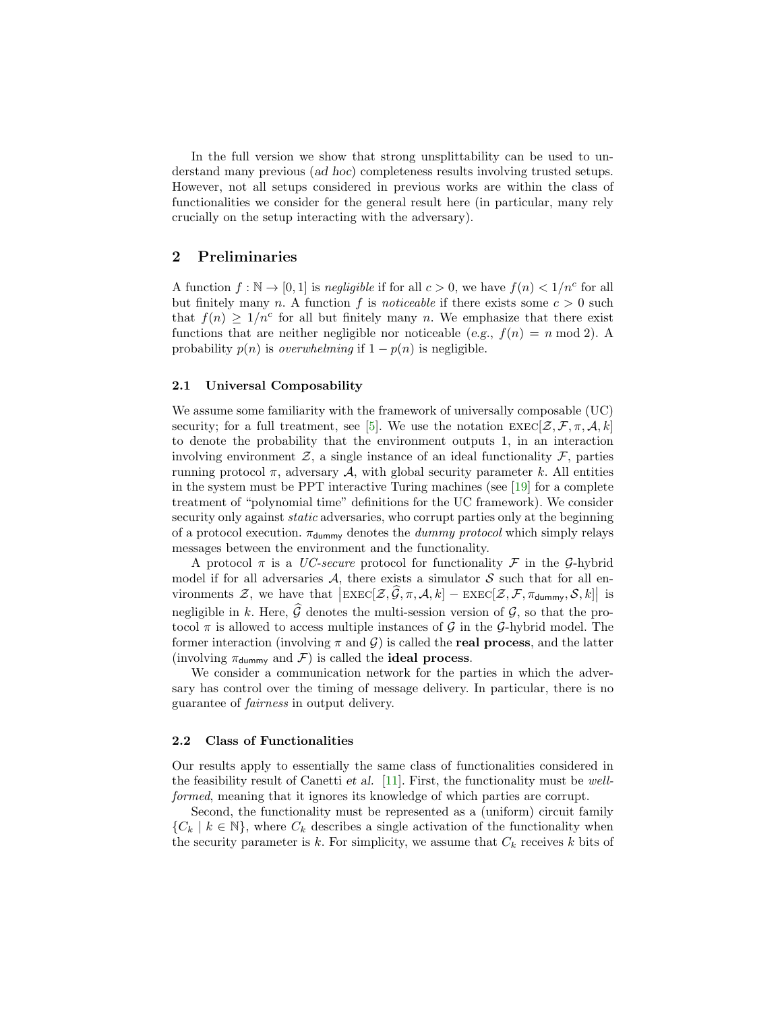In the full version we show that strong unsplittability can be used to understand many previous (ad hoc) completeness results involving trusted setups. However, not all setups considered in previous works are within the class of functionalities we consider for the general result here (in particular, many rely crucially on the setup interacting with the adversary).

# 2 Preliminaries

A function  $f : \mathbb{N} \to [0, 1]$  is negligible if for all  $c > 0$ , we have  $f(n) < 1/n^c$  for all but finitely many n. A function f is noticeable if there exists some  $c > 0$  such that  $f(n) \geq 1/n^c$  for all but finitely many n. We emphasize that there exist functions that are neither negligible nor noticeable (e.g.,  $f(n) = n \mod 2$ ). A probability  $p(n)$  is *overwhelming* if  $1 - p(n)$  is negligible.

#### 2.1 Universal Composability

We assume some familiarity with the framework of universally composable (UC) security; for a full treatment, see [\[5\]](#page-16-0). We use the notation  $\text{EXEC}[\mathcal{Z}, \mathcal{F}, \pi, \mathcal{A}, k]$ to denote the probability that the environment outputs 1, in an interaction involving environment  $\mathcal{Z}$ , a single instance of an ideal functionality  $\mathcal{F}$ , parties running protocol  $\pi$ , adversary A, with global security parameter k. All entities in the system must be PPT interactive Turing machines (see [\[19\]](#page-17-16) for a complete treatment of "polynomial time" definitions for the UC framework). We consider security only against *static* adversaries, who corrupt parties only at the beginning of a protocol execution.  $\pi_{\text{dummy}}$  denotes the *dummy protocol* which simply relays messages between the environment and the functionality.

A protocol  $\pi$  is a UC-secure protocol for functionality F in the G-hybrid model if for all adversaries  $A$ , there exists a simulator  $S$  such that for all environments  $\mathcal{Z}$ , we have that  $\left|\text{EXEC}[\mathcal{Z}, \widehat{\mathcal{G}}, \pi, \mathcal{A}, k] - \text{EXEC}[\mathcal{Z}, \mathcal{F}, \pi_{\text{dummy}}, \mathcal{S}, k]\right|$  is negligible in k. Here,  $\widehat{\mathcal{G}}$  denotes the multi-session version of  $\mathcal{G}$ , so that the protocol  $\pi$  is allowed to access multiple instances of G in the G-hybrid model. The former interaction (involving  $\pi$  and  $\mathcal{G}$ ) is called the **real process**, and the latter (involving  $\pi_{\text{dummy}}$  and  $\mathcal{F}$ ) is called the **ideal process.** 

We consider a communication network for the parties in which the adversary has control over the timing of message delivery. In particular, there is no guarantee of fairness in output delivery.

#### <span id="page-4-0"></span>2.2 Class of Functionalities

Our results apply to essentially the same class of functionalities considered in the feasibility result of Canetti *et al.* [\[11\]](#page-16-3). First, the functionality must be wellformed, meaning that it ignores its knowledge of which parties are corrupt.

Second, the functionality must be represented as a (uniform) circuit family  ${C_k | k \in \mathbb{N}}$ , where  $C_k$  describes a single activation of the functionality when the security parameter is k. For simplicity, we assume that  $C_k$  receives k bits of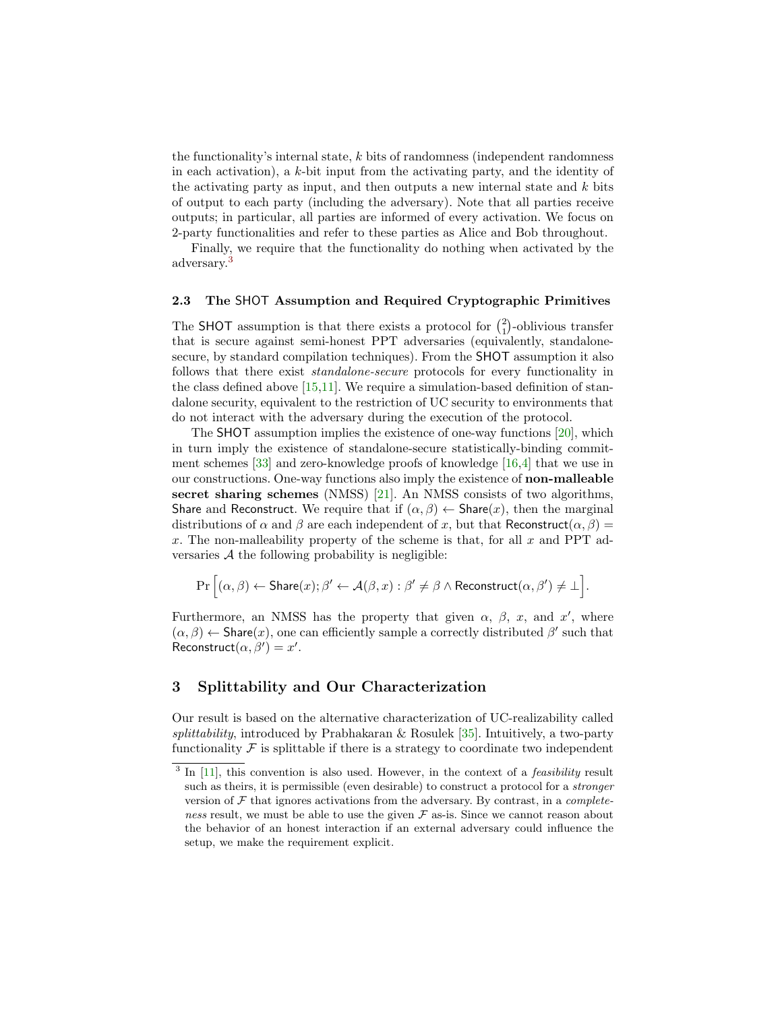the functionality's internal state,  $k$  bits of randomness (independent randomness) in each activation), a  $k$ -bit input from the activating party, and the identity of the activating party as input, and then outputs a new internal state and  $k$  bits of output to each party (including the adversary). Note that all parties receive outputs; in particular, all parties are informed of every activation. We focus on 2-party functionalities and refer to these parties as Alice and Bob throughout.

Finally, we require that the functionality do nothing when activated by the adversary.[3](#page-5-0)

#### 2.3 The SHOT Assumption and Required Cryptographic Primitives

The SHOT assumption is that there exists a protocol for  $\binom{2}{1}$ -oblivious transfer that is secure against semi-honest PPT adversaries (equivalently, standalonesecure, by standard compilation techniques). From the SHOT assumption it also follows that there exist standalone-secure protocols for every functionality in the class defined above [\[15,](#page-16-13)[11\]](#page-16-3). We require a simulation-based definition of standalone security, equivalent to the restriction of UC security to environments that do not interact with the adversary during the execution of the protocol.

The SHOT assumption implies the existence of one-way functions [\[20\]](#page-17-17), which in turn imply the existence of standalone-secure statistically-binding commitment schemes [\[33\]](#page-17-18) and zero-knowledge proofs of knowledge [\[16,](#page-16-14)[4\]](#page-16-15) that we use in our constructions. One-way functions also imply the existence of non-malleable secret sharing schemes (NMSS) [\[21\]](#page-17-3). An NMSS consists of two algorithms, Share and Reconstruct. We require that if  $(\alpha, \beta) \leftarrow$  Share $(x)$ , then the marginal distributions of  $\alpha$  and  $\beta$  are each independent of x, but that Reconstruct( $\alpha$ ,  $\beta$ ) = x. The non-malleability property of the scheme is that, for all  $x$  and PPT adversaries  $A$  the following probability is negligible:

$$
\Pr\Big[(\alpha,\beta)\leftarrow {\mathsf{Share}}(x);\beta'\leftarrow {\mathcal{A}}(\beta,x):\beta'\neq \beta \wedge {\mathsf{Reconstruct}}(\alpha,\beta')\neq \bot\Big].
$$

Furthermore, an NMSS has the property that given  $\alpha$ ,  $\beta$ , x, and x', where  $(\alpha,\beta)\leftarrow {\sf Share}(x),$  one can efficiently sample a correctly distributed  $\beta'$  such that Reconstruct $(\alpha, \beta') = x'.$ 

# 3 Splittability and Our Characterization

Our result is based on the alternative characterization of UC-realizability called splittability, introduced by Prabhakaran & Rosulek [\[35\]](#page-17-1). Intuitively, a two-party functionality  $\mathcal F$  is splittable if there is a strategy to coordinate two independent

<span id="page-5-0"></span> $3$  In [\[11\]](#page-16-3), this convention is also used. However, in the context of a *feasibility* result such as theirs, it is permissible (even desirable) to construct a protocol for a stronger version of  $\mathcal F$  that ignores activations from the adversary. By contrast, in a *complete*ness result, we must be able to use the given  $\mathcal F$  as-is. Since we cannot reason about the behavior of an honest interaction if an external adversary could influence the setup, we make the requirement explicit.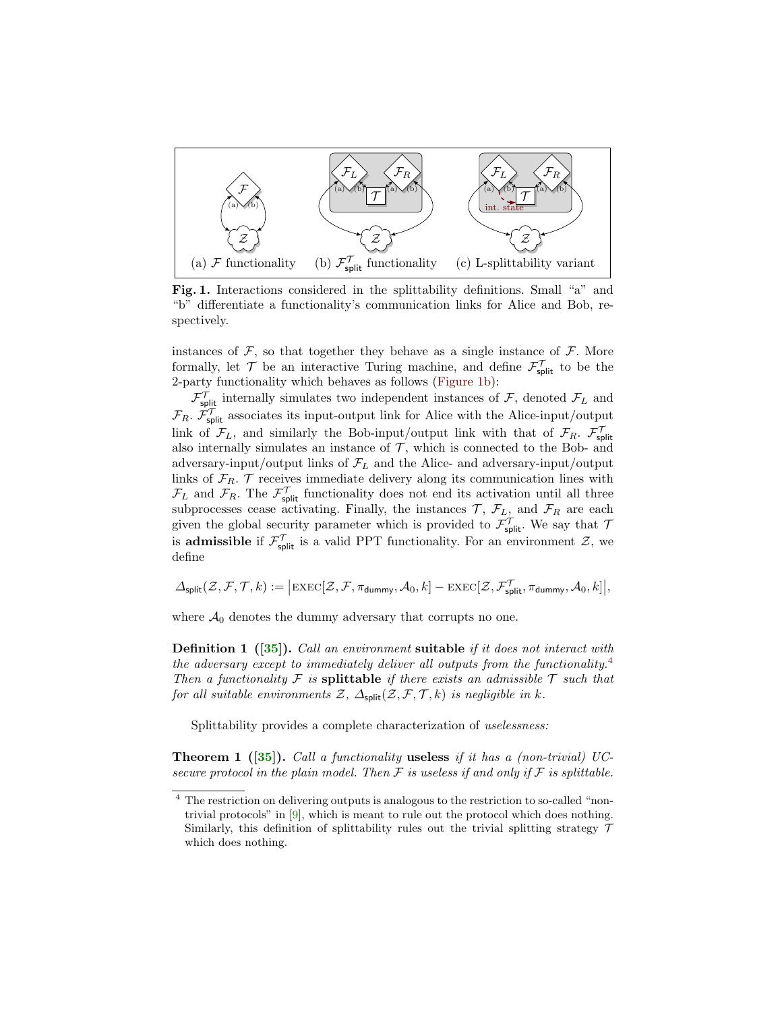

<span id="page-6-0"></span>Fig. 1. Interactions considered in the splittability definitions. Small "a" and "b" differentiate a functionality's communication links for Alice and Bob, respectively.

instances of  $F$ , so that together they behave as a single instance of  $F$ . More formally, let  $\mathcal{T}$  be an interactive Turing machine, and define  $\mathcal{F}_{\text{split}}^{\mathcal{T}}$  to be the 2-party functionality which behaves as follows [\(Figure 1b\)](#page-6-0):

 $\mathcal{F}_{\text{split}}^{\mathcal{T}}$  internally simulates two independent instances of  $\mathcal{F}_{\text{split}}$ , denoted  $\mathcal{F}_{\text{L}}$  and  $\mathcal{F}_R$ .  $\mathcal{F}_{\text{split}}^{\mathcal{T}}$  associates its input-output link for Alice with the Alice-input/output link of  $\mathcal{F}_L$ , and similarly the Bob-input/output link with that of  $\mathcal{F}_R$ .  $\mathcal{F}_{split}^{\mathcal{T}}$ also internally simulates an instance of  $\mathcal{T}$ , which is connected to the Bob- and adversary-input/output links of  $\mathcal{F}_L$  and the Alice- and adversary-input/output links of  $\mathcal{F}_R$ .  $\mathcal T$  receives immediate delivery along its communication lines with  $\mathcal{F}_L$  and  $\mathcal{F}_R$ . The  $\mathcal{F}_{\text{split}}^{\mathcal{T}}$  functionality does not end its activation until all three subprocesses cease activating. Finally, the instances  $\mathcal{T}, \mathcal{F}_L$ , and  $\mathcal{F}_R$  are each given the global security parameter which is provided to  $\mathcal{F}_{split}^{\mathcal{T}}$ . We say that  $\mathcal{T}_{split}$ is **admissible** if  $\mathcal{F}_{split}^{\mathcal{T}}$  is a valid PPT functionality. For an environment  $\mathcal{Z}$ , we define

$$
\varDelta_{\textrm{\rm split}}(\mathcal{Z},\mathcal{F},\mathcal{T},k):=\big|\textrm{\rm EXEC}[\mathcal{Z},\mathcal{F},\pi_{\textrm{\rm dummy}},\mathcal{A}_0,k]-\textrm{\rm EXEC}[\mathcal{Z},\mathcal{F}^{\mathcal{T}}_{\textrm{\rm split}},\pi_{\textrm{\rm dummy}},\mathcal{A}_0,k]\big|,
$$

where  $A_0$  denotes the dummy adversary that corrupts no one.

**Definition 1** ([\[35\]](#page-17-1)). Call an environment suitable if it does not interact with the adversary except to immediately deliver all outputs from the functionality.<sup>[4](#page-6-1)</sup> Then a functionality F is splittable if there exists an admissible  $\mathcal T$  such that for all suitable environments  $\mathcal{Z}, \Delta_{split}(\mathcal{Z}, \mathcal{F}, \mathcal{T}, k)$  is negligible in k.

Splittability provides a complete characterization of uselessness:

**Theorem 1** ([\[35\]](#page-17-1)). Call a functionality useless if it has a (non-trivial) UCsecure protocol in the plain model. Then  $\mathcal F$  is useless if and only if  $\mathcal F$  is splittable.

<span id="page-6-1"></span><sup>4</sup> The restriction on delivering outputs is analogous to the restriction to so-called "nontrivial protocols" in [\[9\]](#page-16-2), which is meant to rule out the protocol which does nothing. Similarly, this definition of splittability rules out the trivial splitting strategy  $\mathcal T$ which does nothing.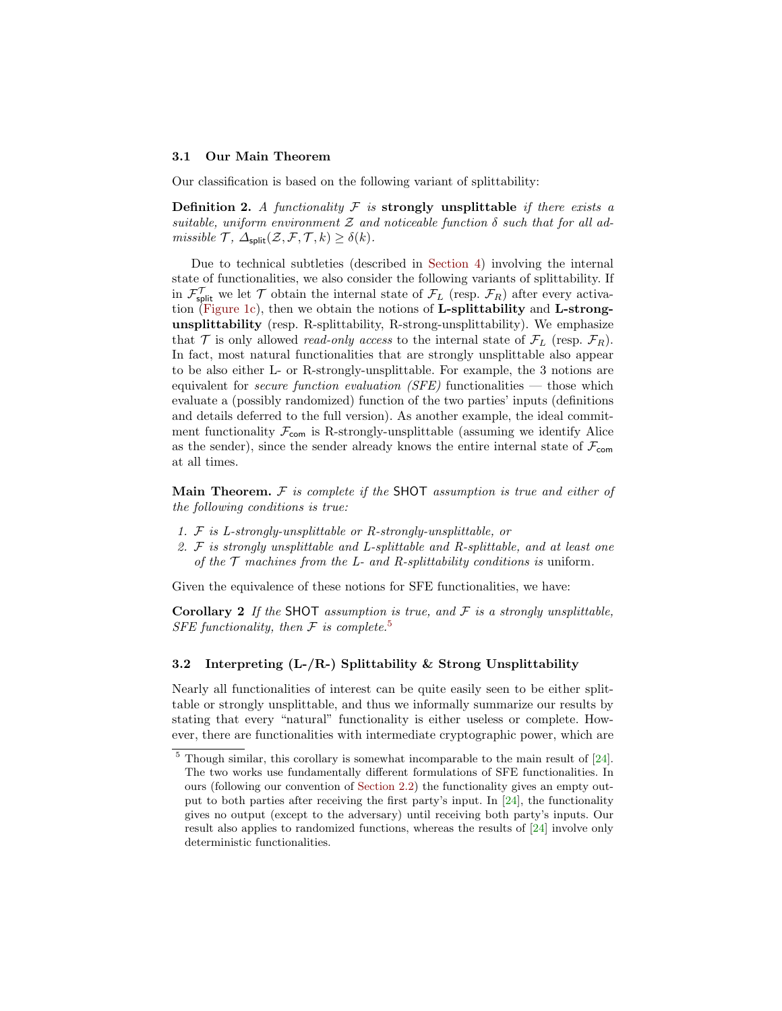#### 3.1 Our Main Theorem

Our classification is based on the following variant of splittability:

**Definition 2.** A functionality  $\mathcal F$  is strongly unsplittable if there exists a suitable, uniform environment  $\mathcal Z$  and noticeable function  $\delta$  such that for all admissible  $\mathcal{T}, \Delta_{split}(\mathcal{Z}, \mathcal{F}, \mathcal{T}, k) \geq \delta(k)$ .

Due to technical subtleties (described in [Section 4\)](#page-8-0) involving the internal state of functionalities, we also consider the following variants of splittability. If in  $\mathcal{F}_{split}^{\mathcal{T}}$  we let  $\mathcal{T}$  obtain the internal state of  $\mathcal{F}_{L}$  (resp.  $\mathcal{F}_{R}$ ) after every activation [\(Figure 1c\)](#page-6-0), then we obtain the notions of L-splittability and L-strongunsplittability (resp. R-splittability, R-strong-unsplittability). We emphasize that  $\mathcal T$  is only allowed *read-only access* to the internal state of  $\mathcal F_L$  (resp.  $\mathcal F_R$ ). In fact, most natural functionalities that are strongly unsplittable also appear to be also either L- or R-strongly-unsplittable. For example, the 3 notions are equivalent for *secure function evaluation (SFE)* functionalities  $-$  those which evaluate a (possibly randomized) function of the two parties' inputs (definitions and details deferred to the full version). As another example, the ideal commitment functionality  $\mathcal{F}_{com}$  is R-strongly-unsplittable (assuming we identify Alice as the sender), since the sender already knows the entire internal state of  $\mathcal{F}_{\text{com}}$ at all times.

Main Theorem.  $F$  is complete if the SHOT assumption is true and either of the following conditions is true:

- 1. F is L-strongly-unsplittable or R-strongly-unsplittable, or
- 2.  $\mathcal F$  is strongly unsplittable and L-splittable and R-splittable, and at least one of the  $\mathcal T$  machines from the L- and R-splittability conditions is uniform.

Given the equivalence of these notions for SFE functionalities, we have:

Corollary 2 If the SHOT assumption is true, and  $F$  is a strongly unsplittable, SFE functionality, then  $\mathcal F$  is complete.<sup>[5](#page-7-1)</sup>

#### <span id="page-7-0"></span>3.2 Interpreting  $(L-R-)$  Splittability & Strong Unsplittability

Nearly all functionalities of interest can be quite easily seen to be either splittable or strongly unsplittable, and thus we informally summarize our results by stating that every "natural" functionality is either useless or complete. However, there are functionalities with intermediate cryptographic power, which are

<span id="page-7-1"></span> $5$  Though similar, this corollary is somewhat incomparable to the main result of  $[24]$ . The two works use fundamentally different formulations of SFE functionalities. In ours (following our convention of [Section 2.2\)](#page-4-0) the functionality gives an empty output to both parties after receiving the first party's input. In [\[24\]](#page-17-15), the functionality gives no output (except to the adversary) until receiving both party's inputs. Our result also applies to randomized functions, whereas the results of [\[24\]](#page-17-15) involve only deterministic functionalities.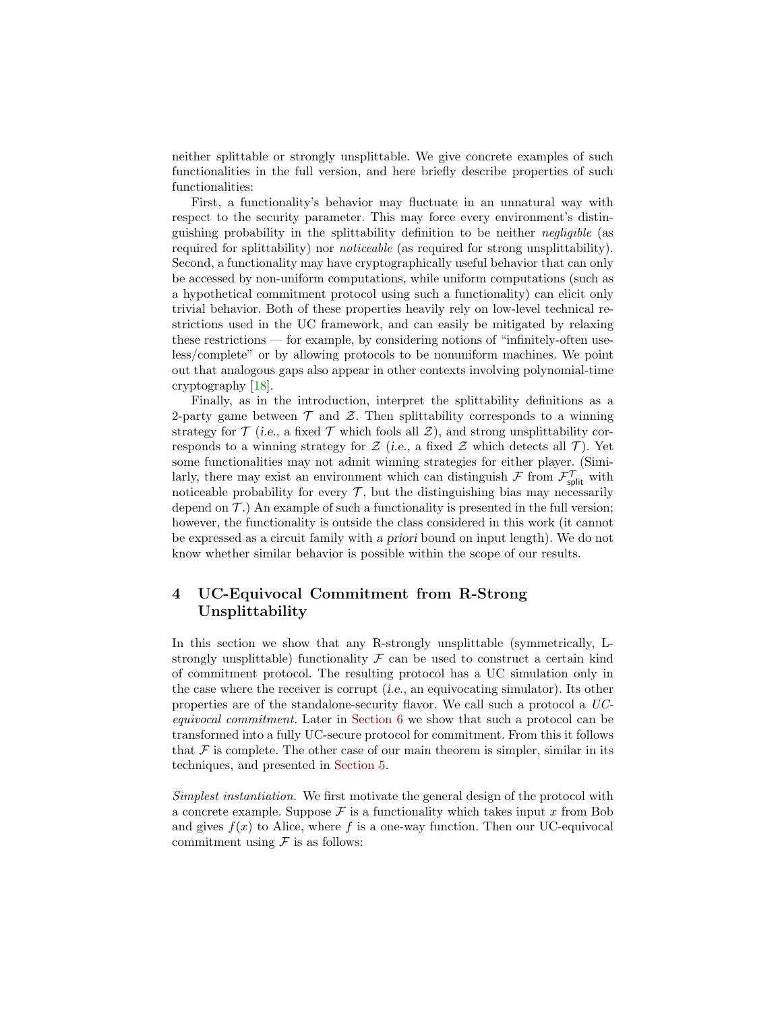neither splittable or strongly unsplittable. We give concrete examples of such functionalities in the full version, and here briefly describe properties of such functionalities:

First, a functionality's behavior may fluctuate in an unnatural way with respect to the security parameter. This may force every environment's distinguishing probability in the splittability definition to be neither negligible (as required for splittability) nor noticeable (as required for strong unsplittability). Second, a functionality may have cryptographically useful behavior that can only be accessed by non-uniform computations, while uniform computations (such as a hypothetical commitment protocol using such a functionality) can elicit only trivial behavior. Both of these properties heavily rely on low-level technical restrictions used in the UC framework, and can easily be mitigated by relaxing these restrictions — for example, by considering notions of "infinitely-often useless/complete" or by allowing protocols to be nonuniform machines. We point out that analogous gaps also appear in other contexts involving polynomial-time cryptography [\[18\]](#page-17-14).

Finally, as in the introduction, interpret the splittability definitions as a 2-party game between  $\mathcal T$  and  $\mathcal Z$ . Then splittability corresponds to a winning strategy for  $\mathcal T$  (i.e., a fixed  $\mathcal T$  which fools all  $\mathcal Z$ ), and strong unsplittability corresponds to a winning strategy for  $\mathcal Z$  (i.e., a fixed  $\mathcal Z$  which detects all  $\mathcal T$ ). Yet some functionalities may not admit winning strategies for either player. (Similarly, there may exist an environment which can distinguish  $\mathcal{F}$  from  $\mathcal{F}_{\text{split}}^{\mathcal{T}}$  with noticeable probability for every  $\mathcal{T}$ , but the distinguishing bias may necessarily depend on  $\mathcal{T}$ .) An example of such a functionality is presented in the full version; however, the functionality is outside the class considered in this work (it cannot be expressed as a circuit family with a priori bound on input length). We do not know whether similar behavior is possible within the scope of our results.

# <span id="page-8-0"></span>4 UC-Equivocal Commitment from R-Strong Unsplittability

In this section we show that any R-strongly unsplittable (symmetrically, Lstrongly unsplittable) functionality  $\mathcal F$  can be used to construct a certain kind of commitment protocol. The resulting protocol has a UC simulation only in the case where the receiver is corrupt (i.e., an equivocating simulator). Its other properties are of the standalone-security flavor. We call such a protocol a UCequivocal commitment. Later in [Section 6](#page-13-0) we show that such a protocol can be transformed into a fully UC-secure protocol for commitment. From this it follows that  $\mathcal F$  is complete. The other case of our main theorem is simpler, similar in its techniques, and presented in [Section 5.](#page-12-0)

Simplest instantiation. We first motivate the general design of the protocol with a concrete example. Suppose  $\mathcal F$  is a functionality which takes input x from Bob and gives  $f(x)$  to Alice, where f is a one-way function. Then our UC-equivocal commitment using  $\mathcal F$  is as follows: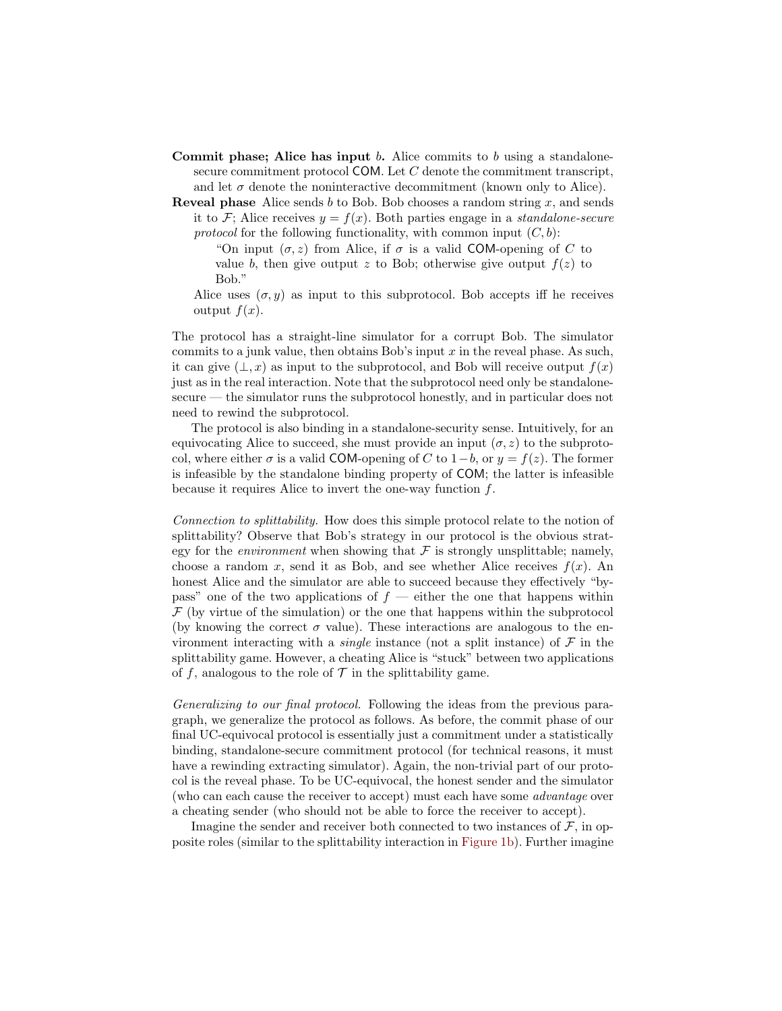- Commit phase; Alice has input b. Alice commits to b using a standalonesecure commitment protocol COM. Let  $C$  denote the commitment transcript, and let  $\sigma$  denote the noninteractive decommitment (known only to Alice).
- **Reveal phase** Alice sends b to Bob. Bob chooses a random string  $x$ , and sends it to F; Alice receives  $y = f(x)$ . Both parties engage in a *standalone-secure* protocol for the following functionality, with common input  $(C, b)$ :
	- "On input  $(\sigma, z)$  from Alice, if  $\sigma$  is a valid COM-opening of C to value b, then give output z to Bob; otherwise give output  $f(z)$  to Bob."
	- Alice uses  $(\sigma, y)$  as input to this subprotocol. Bob accepts iff he receives output  $f(x)$ .

The protocol has a straight-line simulator for a corrupt Bob. The simulator commits to a junk value, then obtains Bob's input  $x$  in the reveal phase. As such, it can give  $(\perp, x)$  as input to the subprotocol, and Bob will receive output  $f(x)$ just as in the real interaction. Note that the subprotocol need only be standalonesecure — the simulator runs the subprotocol honestly, and in particular does not need to rewind the subprotocol.

The protocol is also binding in a standalone-security sense. Intuitively, for an equivocating Alice to succeed, she must provide an input  $(\sigma, z)$  to the subprotocol, where either  $\sigma$  is a valid COM-opening of C to 1−b, or  $y = f(z)$ . The former is infeasible by the standalone binding property of COM; the latter is infeasible because it requires Alice to invert the one-way function f.

Connection to splittability. How does this simple protocol relate to the notion of splittability? Observe that Bob's strategy in our protocol is the obvious strategy for the *environment* when showing that  $\mathcal F$  is strongly unsplittable; namely, choose a random x, send it as Bob, and see whether Alice receives  $f(x)$ . An honest Alice and the simulator are able to succeed because they effectively "bypass" one of the two applications of  $f$  — either the one that happens within  $\mathcal F$  (by virtue of the simulation) or the one that happens within the subprotocol (by knowing the correct  $\sigma$  value). These interactions are analogous to the environment interacting with a *single* instance (not a split instance) of  $\mathcal F$  in the splittability game. However, a cheating Alice is "stuck" between two applications of f, analogous to the role of  $\mathcal T$  in the splittability game.

Generalizing to our final protocol. Following the ideas from the previous paragraph, we generalize the protocol as follows. As before, the commit phase of our final UC-equivocal protocol is essentially just a commitment under a statistically binding, standalone-secure commitment protocol (for technical reasons, it must have a rewinding extracting simulator). Again, the non-trivial part of our protocol is the reveal phase. To be UC-equivocal, the honest sender and the simulator (who can each cause the receiver to accept) must each have some advantage over a cheating sender (who should not be able to force the receiver to accept).

Imagine the sender and receiver both connected to two instances of  $\mathcal{F}$ , in opposite roles (similar to the splittability interaction in [Figure 1b\)](#page-6-0). Further imagine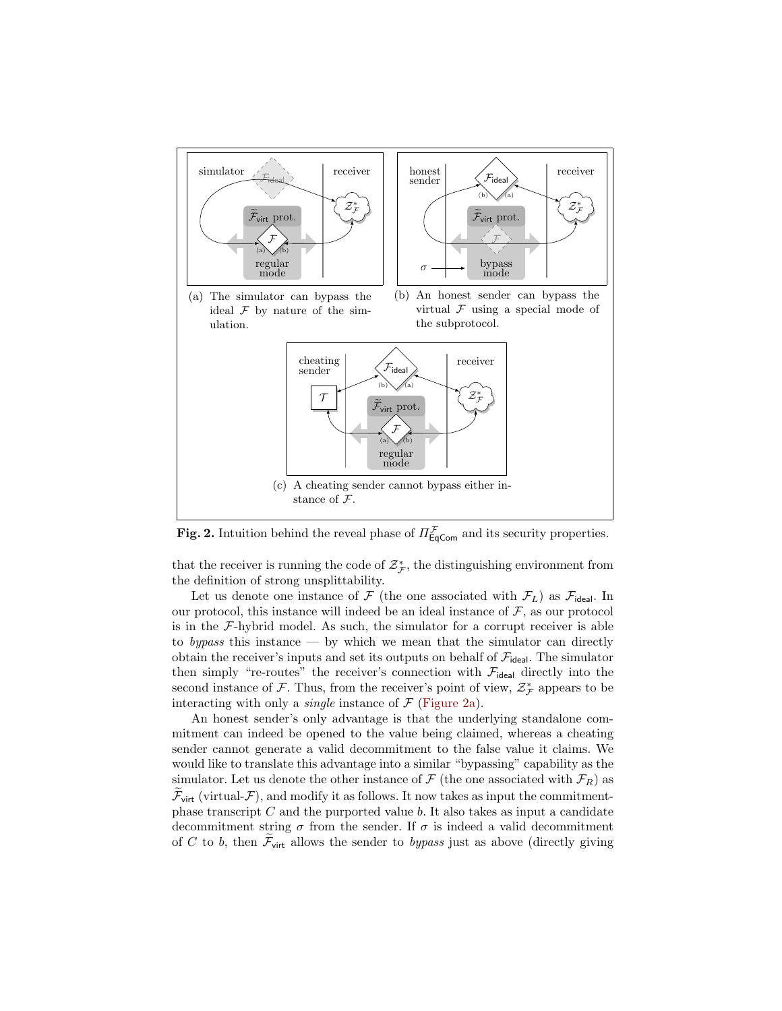

<span id="page-10-0"></span>**Fig. 2.** Intuition behind the reveal phase of  $\Pi_{\text{EqCom}}^{\mathcal{F}}$  and its security properties.

that the receiver is running the code of  $\mathcal{Z}_{\mathcal{F}}^*$ , the distinguishing environment from the definition of strong unsplittability.

Let us denote one instance of  $\mathcal F$  (the one associated with  $\mathcal F_L$ ) as  $\mathcal F_{\text{ideal}}$ . In our protocol, this instance will indeed be an ideal instance of  $\mathcal{F}$ , as our protocol is in the  $\mathcal{F}\text{-hybrid model}$ . As such, the simulator for a corrupt receiver is able to bypass this instance — by which we mean that the simulator can directly obtain the receiver's inputs and set its outputs on behalf of  $\mathcal{F}_{\mathsf{ideal}}$ . The simulator then simply "re-routes" the receiver's connection with  $\mathcal{F}_{\text{ideal}}$  directly into the second instance of  $\mathcal{F}$ . Thus, from the receiver's point of view,  $\mathcal{Z}_{\mathcal{F}}^*$  appears to be interacting with only a *single* instance of  $\mathcal F$  [\(Figure 2a\)](#page-10-0).

An honest sender's only advantage is that the underlying standalone commitment can indeed be opened to the value being claimed, whereas a cheating sender cannot generate a valid decommitment to the false value it claims. We would like to translate this advantage into a similar "bypassing" capability as the simulator. Let us denote the other instance of  $\mathcal F$  (the one associated with  $\mathcal F_R$ ) as  $\mathcal{F}_{\text{virt}}$  (virtual- $\mathcal{F}$ ), and modify it as follows. It now takes as input the commitmentphase transcript  $C$  and the purported value  $b$ . It also takes as input a candidate decommitment string  $\sigma$  from the sender. If  $\sigma$  is indeed a valid decommitment of C to b, then  $\mathcal{F}_{\text{virt}}$  allows the sender to bypass just as above (directly giving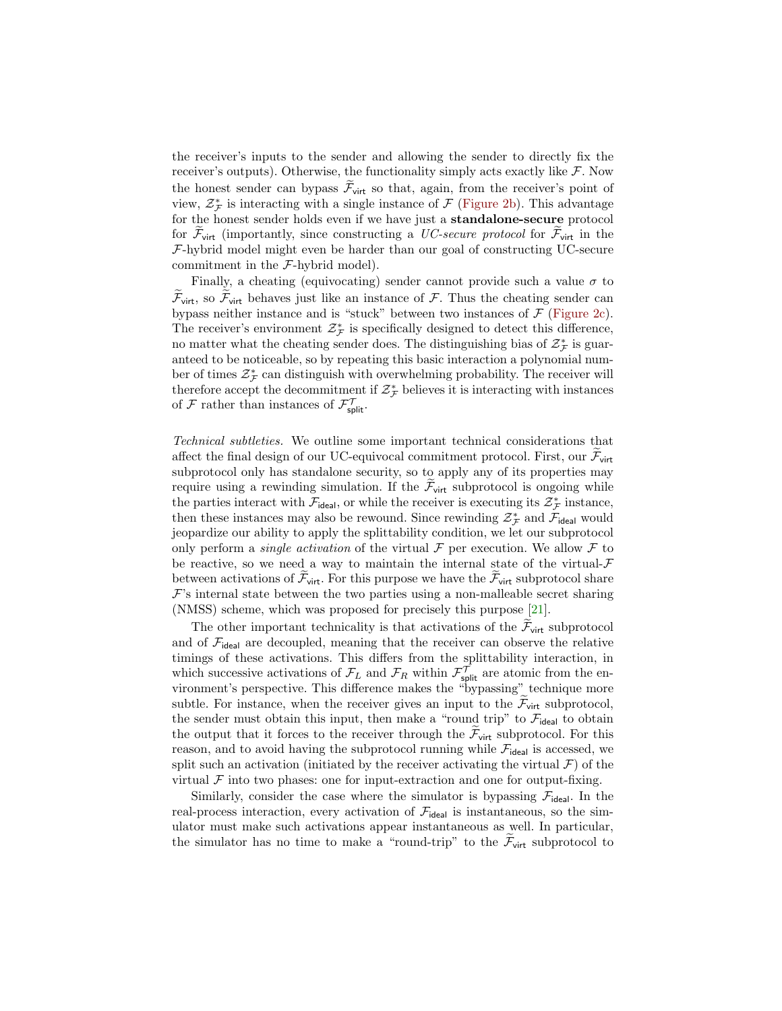the receiver's inputs to the sender and allowing the sender to directly fix the receiver's outputs). Otherwise, the functionality simply acts exactly like  $\mathcal{F}$ . Now the honest sender can bypass  $\widetilde{\mathcal{F}}_{\text{virt}}$  so that, again, from the receiver's point of view,  $\mathcal{Z}_{\mathcal{F}}^*$  is interacting with a single instance of  $\mathcal{F}$  [\(Figure 2b\)](#page-10-0). This advantage for the honest sender holds even if we have just a standalone-secure protocol for  $\mathcal{F}_{\text{virt}}$  (importantly, since constructing a *UC-secure protocol* for  $\mathcal{F}_{\text{virt}}$  in the F-hybrid model might even be harder than our goal of constructing UC-secure commitment in the F-hybrid model).

Finally, a cheating (equivocating) sender cannot provide such a value  $\sigma$  to  $\mathcal{F}_{\text{virt}}$ , so  $\mathcal{F}_{\text{virt}}$  behaves just like an instance of  $\mathcal{F}$ . Thus the cheating sender can bypass neither instance and is "stuck" between two instances of  $\mathcal F$  [\(Figure 2c\)](#page-10-0). The receiver's environment  $\mathcal{Z}_{\mathcal{F}}^{*}$  is specifically designed to detect this difference, no matter what the cheating sender does. The distinguishing bias of  $\mathcal{Z}^*_{\mathcal{F}}$  is guaranteed to be noticeable, so by repeating this basic interaction a polynomial number of times $\mathcal{Z}^*_{\mathcal{F}}$  can distinguish with overwhelming probability. The receiver will therefore accept the decommitment if  $\mathcal{Z}_{\mathcal{F}}^*$  believes it is interacting with instances of  $\mathcal{F}$  rather than instances of  $\mathcal{F}_{\text{split}}^{\mathcal{T}}$ .

Technical subtleties. We outline some important technical considerations that affect the final design of our UC-equivocal commitment protocol. First, our  $\mathcal{F}_{\text{virt}}$ subprotocol only has standalone security, so to apply any of its properties may require using a rewinding simulation. If the  $\mathcal{F}_{\text{virt}}$  subprotocol is ongoing while the parties interact with  $\mathcal{F}_{\text{ideal}}$ , or while the receiver is executing its  $\mathcal{Z}_{\mathcal{F}}^*$  instance, then these instances may also be rewound. Since rewinding  $\mathcal{Z}_{\mathcal{F}}^*$  and  $\mathcal{F}_{\mathsf{ideal}}$  would jeopardize our ability to apply the splittability condition, we let our subprotocol only perform a *single activation* of the virtual  $\mathcal F$  per execution. We allow  $\mathcal F$  to be reactive, so we need a way to maintain the internal state of the virtual- $\mathcal F$ between activations of  $\mathcal{F}_{\text{virt}}$ . For this purpose we have the  $\mathcal{F}_{\text{virt}}$  subprotocol share  $\mathcal{F}$ 's internal state between the two parties using a non-malleable secret sharing (NMSS) scheme, which was proposed for precisely this purpose [\[21\]](#page-17-3).

The other important technicality is that activations of the  $\mathcal{F}_{\text{virt}}$  subprotocol and of  $\mathcal{F}_{\text{ideal}}$  are decoupled, meaning that the receiver can observe the relative timings of these activations. This differs from the splittability interaction, in which successive activations of  $\mathcal{F}_L$  and  $\mathcal{F}_R$  within  $\mathcal{F}_{\text{split}}^{\mathcal{T}}$  are atomic from the environment's perspective. This difference makes the "bypassing" technique more subtle. For instance, when the receiver gives an input to the  $\mathcal{F}_{\text{virt}}$  subprotocol, the sender must obtain this input, then make a "round trip" to  $\mathcal{F}_{\text{ideal}}$  to obtain the output that it forces to the receiver through the  $\mathcal{F}_{\text{virt}}$  subprotocol. For this reason, and to avoid having the subprotocol running while  $\mathcal{F}_{\text{ideal}}$  is accessed, we split such an activation (initiated by the receiver activating the virtual  $\mathcal{F}$ ) of the virtual  $\mathcal F$  into two phases: one for input-extraction and one for output-fixing.

Similarly, consider the case where the simulator is bypassing  $\mathcal{F}_{\text{ideal}}$ . In the real-process interaction, every activation of  $\mathcal{F}_{\text{ideal}}$  is instantaneous, so the simulator must make such activations appear instantaneous as well. In particular, the simulator has no time to make a "round-trip" to the  $\mathcal{F}_{\text{virt}}$  subprotocol to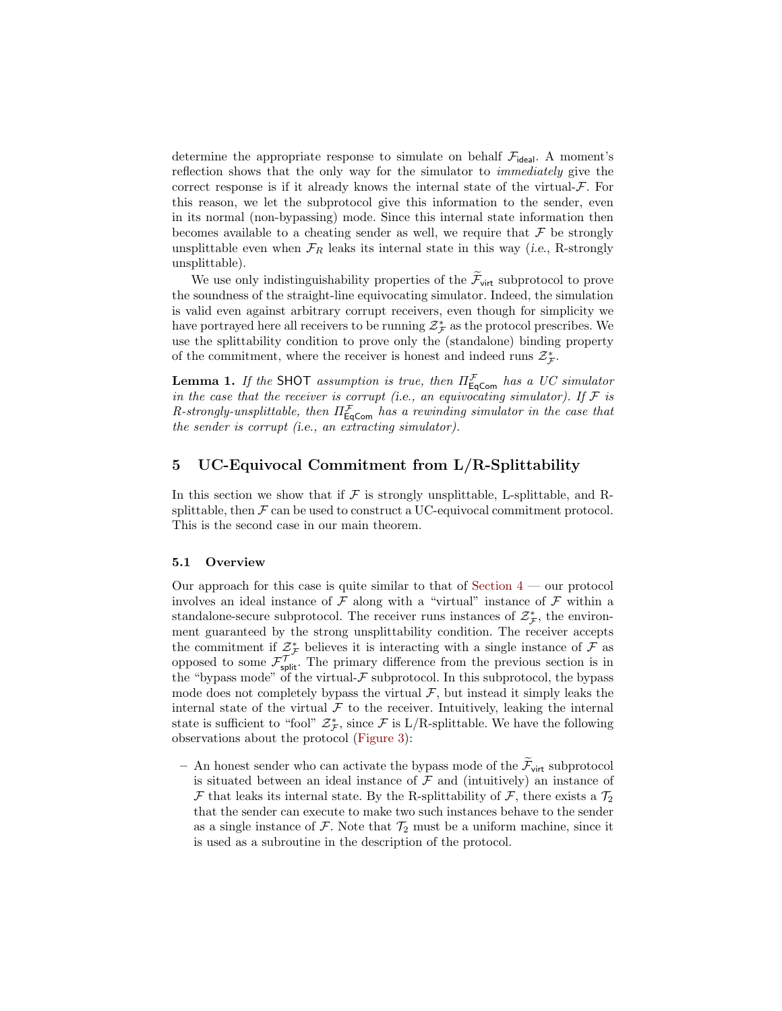determine the appropriate response to simulate on behalf  $\mathcal{F}_{\text{ideal}}$ . A moment's reflection shows that the only way for the simulator to immediately give the correct response is if it already knows the internal state of the virtual- $\mathcal{F}$ . For this reason, we let the subprotocol give this information to the sender, even in its normal (non-bypassing) mode. Since this internal state information then becomes available to a cheating sender as well, we require that  $\mathcal F$  be strongly unsplittable even when  $\mathcal{F}_R$  leaks its internal state in this way (i.e., R-strongly unsplittable).

We use only indistinguishability properties of the  $\mathcal{F}_{\text{virt}}$  subprotocol to prove the soundness of the straight-line equivocating simulator. Indeed, the simulation is valid even against arbitrary corrupt receivers, even though for simplicity we have portrayed here all receivers to be running  $\mathcal{Z}_{\mathcal{F}}^{*}$  as the protocol prescribes. We use the splittability condition to prove only the (standalone) binding property of the commitment, where the receiver is honest and indeed runs  $\mathcal{Z}_{\mathcal{F}}^* .$ 

**Lemma 1.** If the SHOT assumption is true, then  $\Pi_{\mathsf{EqCom}}^{\mathcal{F}}$  has a UC simulator in the case that the receiver is corrupt (i.e., an equivocating simulator). If  $\mathcal F$  is R-strongly-unsplittable, then  $\Pi_{\textsf{EqCom}}^{\mathcal{F}}$  has a rewinding simulator in the case that the sender is corrupt (i.e., an extracting simulator).

# <span id="page-12-0"></span>5 UC-Equivocal Commitment from  $L/R$ -Splittability

In this section we show that if  $\mathcal F$  is strongly unsplittable, L-splittable, and Rsplittable, then  $\mathcal F$  can be used to construct a UC-equivocal commitment protocol. This is the second case in our main theorem.

#### 5.1 Overview

Our approach for this case is quite similar to that of Section  $4$  — our protocol involves an ideal instance of  $\mathcal F$  along with a "virtual" instance of  $\mathcal F$  within a standalone-secure subprotocol. The receiver runs instances of  $\mathcal{Z}_{\mathcal{F}}^*$ , the environment guaranteed by the strong unsplittability condition. The receiver accepts the commitment if  $\mathcal{Z}_{\mathcal{F}}^*$  believes it is interacting with a single instance of  $\mathcal F$  as opposed to some  $\mathcal{F}^{\mathcal{T}}_{\text{split}}$ . The primary difference from the previous section is in the "bypass mode" of the virtual- $\mathcal F$  subprotocol. In this subprotocol, the bypass mode does not completely bypass the virtual  $\mathcal{F}$ , but instead it simply leaks the internal state of the virtual  $\mathcal F$  to the receiver. Intuitively, leaking the internal state is sufficient to "fool"  $\mathcal{Z}_{\mathcal{F}}^*$ , since  $\mathcal F$  is L/R-splittable. We have the following observations about the protocol [\(Figure 3\)](#page-13-1):

– An honest sender who can activate the bypass mode of the  $\widetilde{\mathcal{F}}_{virt}$  subprotocol is situated between an ideal instance of  $\mathcal F$  and (intuitively) an instance of  $\mathcal F$  that leaks its internal state. By the R-splittability of  $\mathcal F$ , there exists a  $\mathcal T_2$ that the sender can execute to make two such instances behave to the sender as a single instance of  $\mathcal F$ . Note that  $\mathcal T_2$  must be a uniform machine, since it is used as a subroutine in the description of the protocol.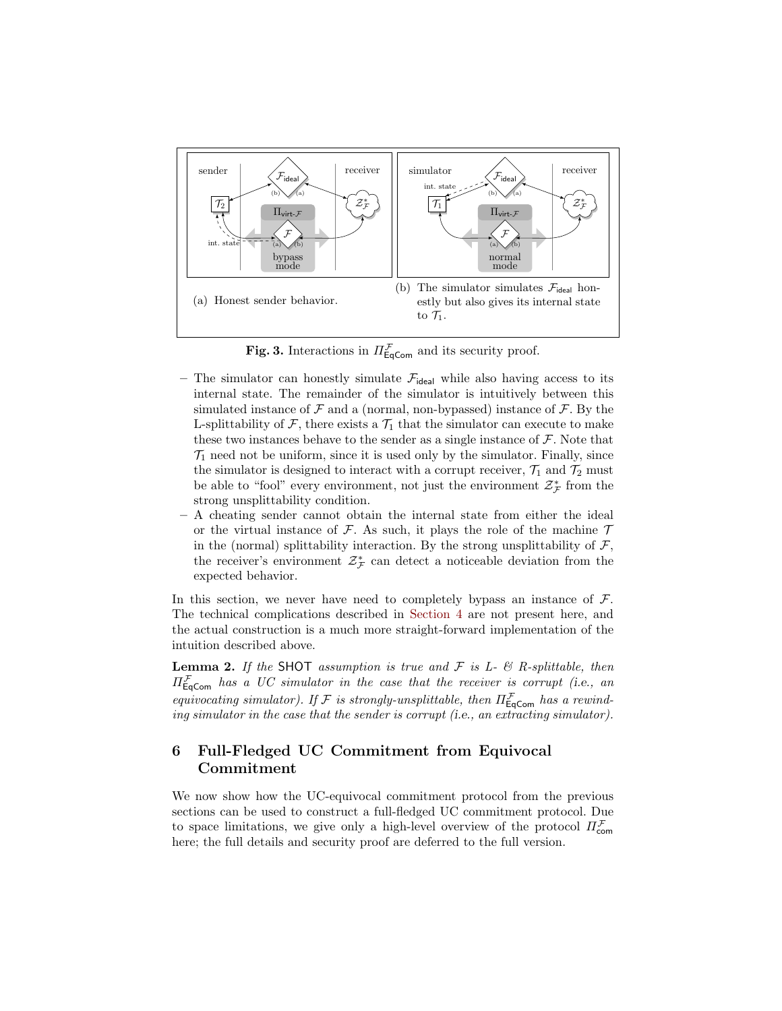

<span id="page-13-1"></span>**Fig. 3.** Interactions in  $\Pi_{\text{EqCom}}^{\mathcal{F}}$  and its security proof.

- The simulator can honestly simulate  $\mathcal{F}_{\text{ideal}}$  while also having access to its internal state. The remainder of the simulator is intuitively between this simulated instance of  $\mathcal F$  and a (normal, non-bypassed) instance of  $\mathcal F$ . By the L-splittability of  $\mathcal F$ , there exists a  $\mathcal T_1$  that the simulator can execute to make these two instances behave to the sender as a single instance of  $\mathcal F.$  Note that  $\mathcal{T}_1$  need not be uniform, since it is used only by the simulator. Finally, since the simulator is designed to interact with a corrupt receiver,  $\mathcal{T}_1$  and  $\mathcal{T}_2$  must be able to "fool" every environment, not just the environment  $\mathcal{Z}^*_{\mathcal{F}}$  from the strong unsplittability condition.
- A cheating sender cannot obtain the internal state from either the ideal or the virtual instance of  $\mathcal F$ . As such, it plays the role of the machine  $\mathcal T$ in the (normal) splittability interaction. By the strong unsplittability of  $\mathcal{F}$ , the receiver's environment  $\mathcal{Z}_{\mathcal{F}}^*$  can detect a noticeable deviation from the expected behavior.

In this section, we never have need to completely bypass an instance of  $\mathcal{F}$ . The technical complications described in [Section 4](#page-8-0) are not present here, and the actual construction is a much more straight-forward implementation of the intuition described above.

**Lemma 2.** If the SHOT assumption is true and  $\mathcal F$  is L-  $\mathcal B$  R-splittable, then  $\Pi_{\textsf{EqCom}}^{\mathcal{F}}$  has a UC simulator in the case that the receiver is corrupt (i.e., an equivocating simulator). If F is strongly-unsplittable, then  $\Pi_{\texttt{EqCom}}^{\mathcal{F}}$  has a rewinding simulator in the case that the sender is corrupt (i.e., an extracting simulator).

# <span id="page-13-0"></span>6 Full-Fledged UC Commitment from Equivocal Commitment

We now show how the UC-equivocal commitment protocol from the previous sections can be used to construct a full-fledged UC commitment protocol. Due to space limitations, we give only a high-level overview of the protocol  $\Pi_{\mathsf{com}}^{\mathcal{F}}$ here; the full details and security proof are deferred to the full version.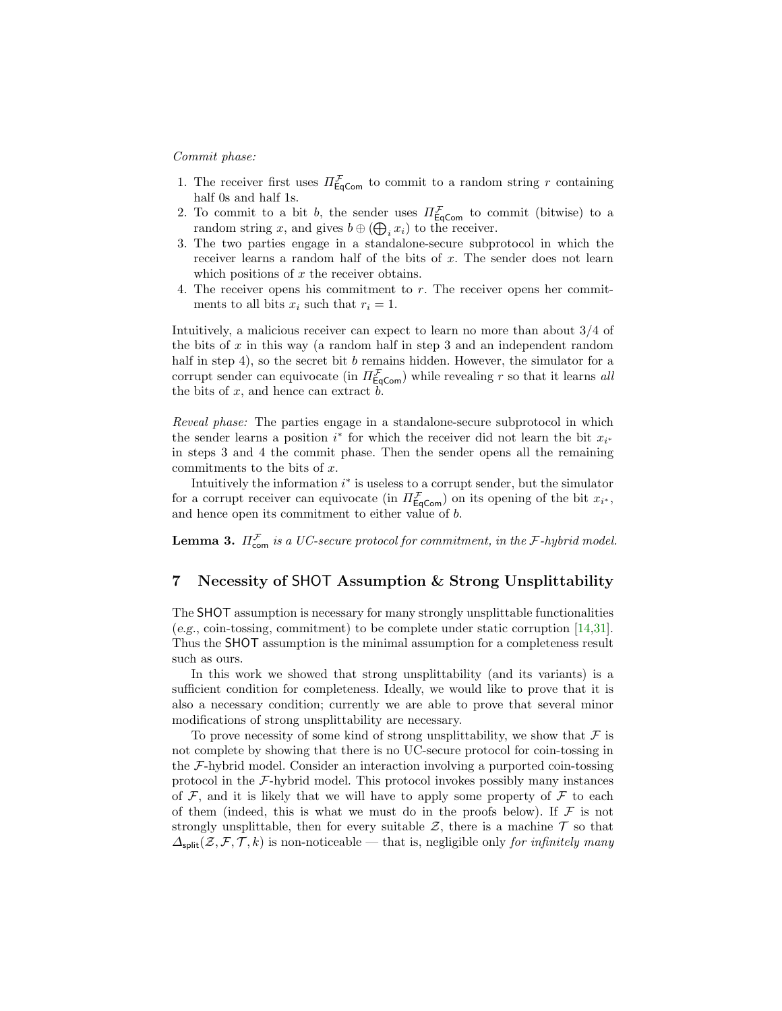#### Commit phase:

- 1. The receiver first uses  $\Pi_{\text{EqCom}}^{\mathcal{F}}$  to commit to a random string r containing half 0s and half 1s.
- 2. To commit to a bit b, the sender uses  $\Pi_{\text{EqCom}}^{\mathcal{F}}$  to commit (bitwise) to a random string x, and gives  $b \oplus (\bigoplus_i x_i)$  to the receiver.
- 3. The two parties engage in a standalone-secure subprotocol in which the receiver learns a random half of the bits of x. The sender does not learn which positions of  $x$  the receiver obtains.
- 4. The receiver opens his commitment to  $r$ . The receiver opens her commitments to all bits  $x_i$  such that  $r_i = 1$ .

Intuitively, a malicious receiver can expect to learn no more than about 3/4 of the bits of x in this way (a random half in step 3 and an independent random half in step 4), so the secret bit b remains hidden. However, the simulator for a corrupt sender can equivocate (in  $\Pi_{\text{EqCom}}^{\mathcal{F}}$ ) while revealing r so that it learns all the bits of  $x$ , and hence can extract  $b$ .

Reveal phase: The parties engage in a standalone-secure subprotocol in which the sender learns a position  $i^*$  for which the receiver did not learn the bit  $x_{i^*}$ in steps 3 and 4 the commit phase. Then the sender opens all the remaining commitments to the bits of x.

Intuitively the information  $i^*$  is useless to a corrupt sender, but the simulator for a corrupt receiver can equivocate (in  $\Pi_{\text{EqCom}}^{\mathcal{F}}$ ) on its opening of the bit  $x_{i^*}$ , and hence open its commitment to either value of b.

**Lemma 3.**  $\Pi_{\text{com}}^{\mathcal{F}}$  is a UC-secure protocol for commitment, in the F-hybrid model.

# <span id="page-14-0"></span>7 Necessity of SHOT Assumption & Strong Unsplittability

The SHOT assumption is necessary for many strongly unsplittable functionalities (e.g., coin-tossing, commitment) to be complete under static corruption [\[14,](#page-16-16)[31\]](#page-17-4). Thus the SHOT assumption is the minimal assumption for a completeness result such as ours.

In this work we showed that strong unsplittability (and its variants) is a sufficient condition for completeness. Ideally, we would like to prove that it is also a necessary condition; currently we are able to prove that several minor modifications of strong unsplittability are necessary.

To prove necessity of some kind of strong unsplittability, we show that  $\mathcal F$  is not complete by showing that there is no UC-secure protocol for coin-tossing in the F-hybrid model. Consider an interaction involving a purported coin-tossing protocol in the  $\mathcal{F}\text{-hybrid model}$ . This protocol invokes possibly many instances of  $\mathcal F$ , and it is likely that we will have to apply some property of  $\mathcal F$  to each of them (indeed, this is what we must do in the proofs below). If  $\mathcal F$  is not strongly unsplittable, then for every suitable  $\mathcal{Z}$ , there is a machine  $\mathcal T$  so that  $\Delta_{\text{split}}(\mathcal{Z}, \mathcal{F}, \mathcal{T}, k)$  is non-noticeable — that is, negligible only for infinitely many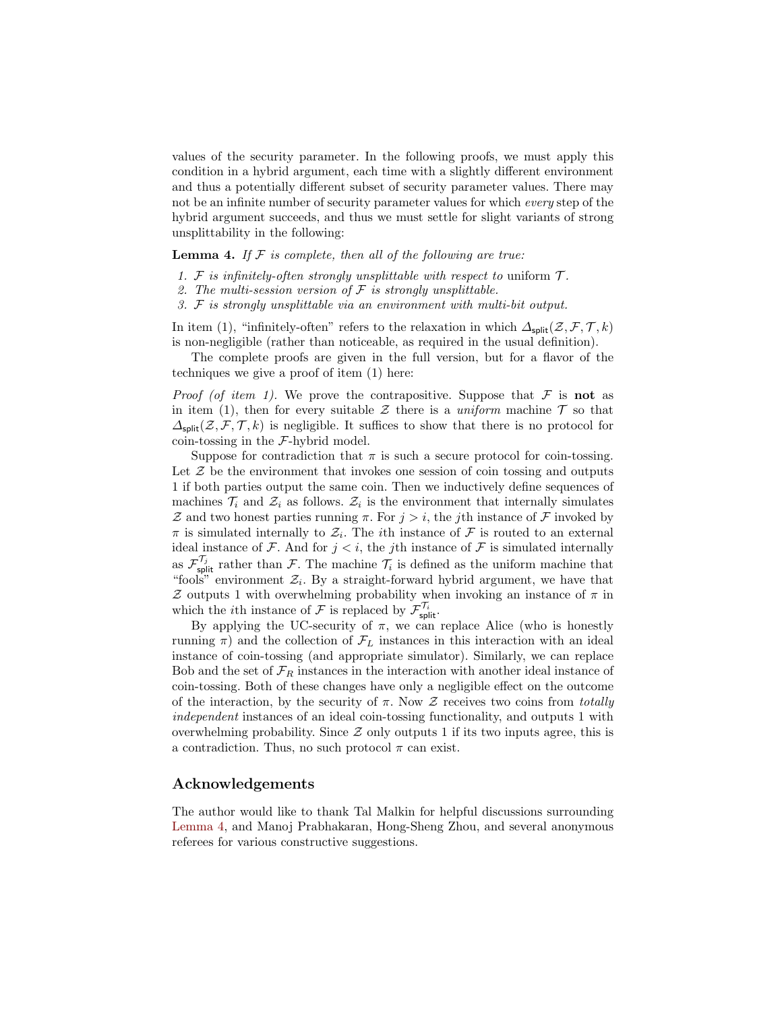values of the security parameter. In the following proofs, we must apply this condition in a hybrid argument, each time with a slightly different environment and thus a potentially different subset of security parameter values. There may not be an infinite number of security parameter values for which every step of the hybrid argument succeeds, and thus we must settle for slight variants of strong unsplittability in the following:

<span id="page-15-0"></span>**Lemma 4.** If  $F$  is complete, then all of the following are true:

- 1. F is infinitely-often strongly unsplittable with respect to uniform  $\mathcal{T}$ .
- 2. The multi-session version of  $\mathcal F$  is strongly unsplittable.
- 3. F is strongly unsplittable via an environment with multi-bit output.

In item (1), "infinitely-often" refers to the relaxation in which  $\Delta_{split}(Z, \mathcal{F}, \mathcal{T}, k)$ is non-negligible (rather than noticeable, as required in the usual definition).

The complete proofs are given in the full version, but for a flavor of the techniques we give a proof of item (1) here:

*Proof (of item 1)*. We prove the contrapositive. Suppose that  $\mathcal F$  is not as in item (1), then for every suitable  $\mathcal Z$  there is a uniform machine  $\mathcal T$  so that  $\Delta_{\text{split}}(\mathcal{Z},\mathcal{F},\mathcal{T},k)$  is negligible. It suffices to show that there is no protocol for coin-tossing in the  $F$ -hybrid model.

Suppose for contradiction that  $\pi$  is such a secure protocol for coin-tossing. Let  $\mathcal Z$  be the environment that invokes one session of coin tossing and outputs 1 if both parties output the same coin. Then we inductively define sequences of machines  $\mathcal{T}_i$  and  $\mathcal{Z}_i$  as follows.  $\mathcal{Z}_i$  is the environment that internally simulates Z and two honest parties running  $\pi$ . For  $j > i$ , the jth instance of F invoked by  $\pi$  is simulated internally to  $\mathcal{Z}_i$ . The *i*th instance of  $\mathcal F$  is routed to an external ideal instance of  $\mathcal F$ . And for  $j < i$ , the jth instance of  $\mathcal F$  is simulated internally as  $\mathcal{F}_{\text{split}}^{\mathcal{T}_j}$  rather than  $\mathcal{F}_{\cdot}$ . The machine  $\mathcal{T}_i$  is defined as the uniform machine that "fools" environment  $\mathcal{Z}_i$ . By a straight-forward hybrid argument, we have that  $Z$  outputs 1 with overwhelming probability when invoking an instance of  $\pi$  in which the *i*th instance of  $\mathcal F$  is replaced by  $\mathcal{F}_{\text{split}}^{\mathcal{T}_i}$ .

By applying the UC-security of  $\pi$ , we can replace Alice (who is honestly running  $\pi$ ) and the collection of  $\mathcal{F}_L$  instances in this interaction with an ideal instance of coin-tossing (and appropriate simulator). Similarly, we can replace Bob and the set of  $\mathcal{F}_R$  instances in the interaction with another ideal instance of coin-tossing. Both of these changes have only a negligible effect on the outcome of the interaction, by the security of  $\pi$ . Now  $\mathcal Z$  receives two coins from *totally* independent instances of an ideal coin-tossing functionality, and outputs 1 with overwhelming probability. Since  $Z$  only outputs 1 if its two inputs agree, this is a contradiction. Thus, no such protocol  $\pi$  can exist.

#### Acknowledgements

The author would like to thank Tal Malkin for helpful discussions surrounding [Lemma 4,](#page-15-0) and Manoj Prabhakaran, Hong-Sheng Zhou, and several anonymous referees for various constructive suggestions.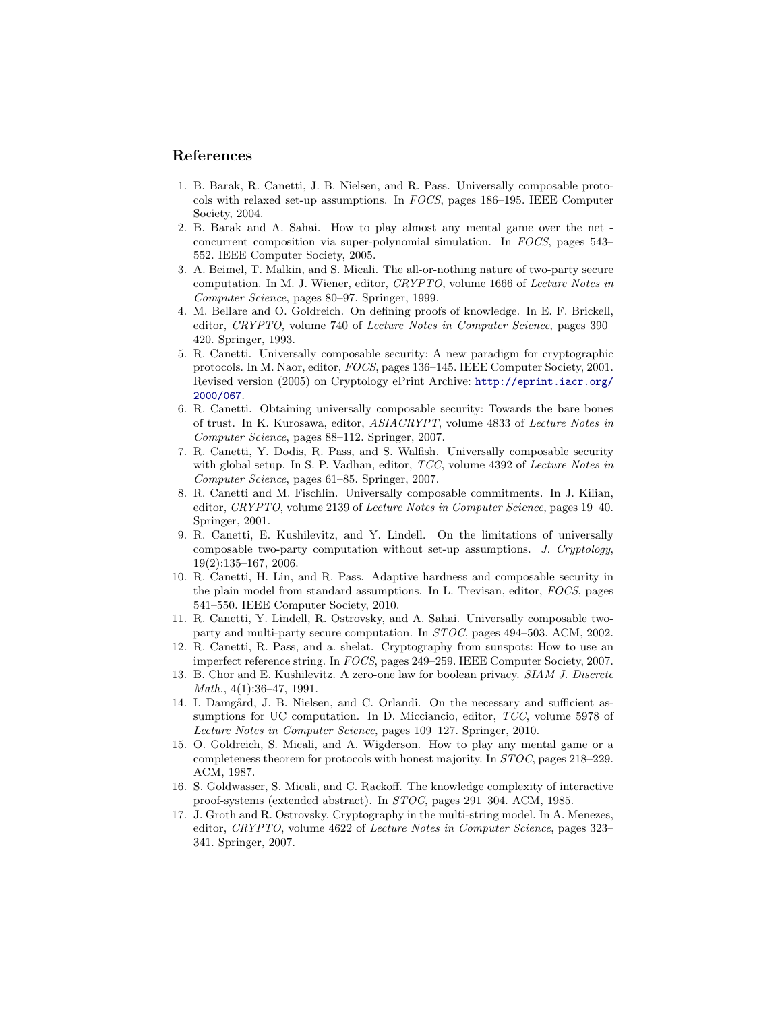# References

- <span id="page-16-4"></span>1. B. Barak, R. Canetti, J. B. Nielsen, and R. Pass. Universally composable protocols with relaxed set-up assumptions. In FOCS, pages 186–195. IEEE Computer Society, 2004.
- <span id="page-16-7"></span>2. B. Barak and A. Sahai. How to play almost any mental game over the net concurrent composition via super-polynomial simulation. In FOCS, pages 543– 552. IEEE Computer Society, 2005.
- <span id="page-16-12"></span>3. A. Beimel, T. Malkin, and S. Micali. The all-or-nothing nature of two-party secure computation. In M. J. Wiener, editor, CRYPTO, volume 1666 of Lecture Notes in Computer Science, pages 80–97. Springer, 1999.
- <span id="page-16-15"></span>4. M. Bellare and O. Goldreich. On defining proofs of knowledge. In E. F. Brickell, editor, CRYPTO, volume 740 of Lecture Notes in Computer Science, pages 390– 420. Springer, 1993.
- <span id="page-16-0"></span>5. R. Canetti. Universally composable security: A new paradigm for cryptographic protocols. In M. Naor, editor, FOCS, pages 136–145. IEEE Computer Society, 2001. Revised version (2005) on Cryptology ePrint Archive: [http://eprint.iacr.org/](http://eprint.iacr.org/2000/067) [2000/067](http://eprint.iacr.org/2000/067).
- <span id="page-16-10"></span>6. R. Canetti. Obtaining universally composable security: Towards the bare bones of trust. In K. Kurosawa, editor, ASIACRYPT, volume 4833 of Lecture Notes in Computer Science, pages 88–112. Springer, 2007.
- <span id="page-16-9"></span>7. R. Canetti, Y. Dodis, R. Pass, and S. Walfish. Universally composable security with global setup. In S. P. Vadhan, editor, *TCC*, volume 4392 of *Lecture Notes in* Computer Science, pages 61–85. Springer, 2007.
- <span id="page-16-1"></span>8. R. Canetti and M. Fischlin. Universally composable commitments. In J. Kilian, editor, CRYPTO, volume 2139 of Lecture Notes in Computer Science, pages 19–40. Springer, 2001.
- <span id="page-16-2"></span>9. R. Canetti, E. Kushilevitz, and Y. Lindell. On the limitations of universally composable two-party computation without set-up assumptions. J. Cryptology, 19(2):135–167, 2006.
- <span id="page-16-8"></span>10. R. Canetti, H. Lin, and R. Pass. Adaptive hardness and composable security in the plain model from standard assumptions. In L. Trevisan, editor, FOCS, pages 541–550. IEEE Computer Society, 2010.
- <span id="page-16-3"></span>11. R. Canetti, Y. Lindell, R. Ostrovsky, and A. Sahai. Universally composable twoparty and multi-party secure computation. In STOC, pages 494–503. ACM, 2002.
- <span id="page-16-5"></span>12. R. Canetti, R. Pass, and a. shelat. Cryptography from sunspots: How to use an imperfect reference string. In FOCS, pages 249–259. IEEE Computer Society, 2007.
- <span id="page-16-11"></span>13. B. Chor and E. Kushilevitz. A zero-one law for boolean privacy. SIAM J. Discrete Math., 4(1):36–47, 1991.
- <span id="page-16-16"></span>14. I. Damgård, J. B. Nielsen, and C. Orlandi. On the necessary and sufficient assumptions for UC computation. In D. Micciancio, editor, TCC, volume 5978 of Lecture Notes in Computer Science, pages 109–127. Springer, 2010.
- <span id="page-16-13"></span>15. O. Goldreich, S. Micali, and A. Wigderson. How to play any mental game or a completeness theorem for protocols with honest majority. In STOC, pages 218–229. ACM, 1987.
- <span id="page-16-14"></span>16. S. Goldwasser, S. Micali, and C. Rackoff. The knowledge complexity of interactive proof-systems (extended abstract). In STOC, pages 291–304. ACM, 1985.
- <span id="page-16-6"></span>17. J. Groth and R. Ostrovsky. Cryptography in the multi-string model. In A. Menezes, editor, CRYPTO, volume 4622 of Lecture Notes in Computer Science, pages 323– 341. Springer, 2007.